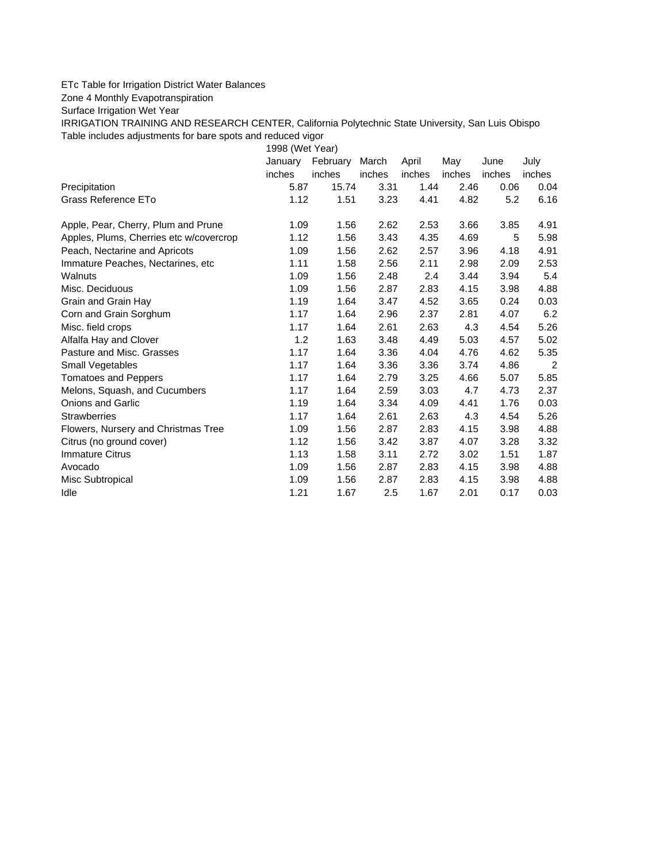## ETc Table for Irrigation District Water Balances

## Zone 4 Monthly Evapotranspiration

Surface Irrigation Wet Year

IRRIGATION TRAINING AND RESEARCH CENTER, California Polytechnic State University, San Luis Obispo Table includes adjustments for bare spots and reduced vigor

1998 (Wet Year)

|                                         | January | February | March  | April  | May    | June   | July           |
|-----------------------------------------|---------|----------|--------|--------|--------|--------|----------------|
|                                         | inches  | inches   | inches | inches | inches | inches | inches         |
| Precipitation                           | 5.87    | 15.74    | 3.31   | 1.44   | 2.46   | 0.06   | 0.04           |
| Grass Reference ETo                     | 1.12    | 1.51     | 3.23   | 4.41   | 4.82   | 5.2    | 6.16           |
| Apple, Pear, Cherry, Plum and Prune     | 1.09    | 1.56     | 2.62   | 2.53   | 3.66   | 3.85   | 4.91           |
| Apples, Plums, Cherries etc w/covercrop | 1.12    | 1.56     | 3.43   | 4.35   | 4.69   | 5      | 5.98           |
| Peach, Nectarine and Apricots           | 1.09    | 1.56     | 2.62   | 2.57   | 3.96   | 4.18   | 4.91           |
| Immature Peaches, Nectarines, etc.      | 1.11    | 1.58     | 2.56   | 2.11   | 2.98   | 2.09   | 2.53           |
| Walnuts                                 | 1.09    | 1.56     | 2.48   | 2.4    | 3.44   | 3.94   | 5.4            |
| Misc. Deciduous                         | 1.09    | 1.56     | 2.87   | 2.83   | 4.15   | 3.98   | 4.88           |
| Grain and Grain Hay                     | 1.19    | 1.64     | 3.47   | 4.52   | 3.65   | 0.24   | 0.03           |
| Corn and Grain Sorghum                  | 1.17    | 1.64     | 2.96   | 2.37   | 2.81   | 4.07   | 6.2            |
| Misc. field crops                       | 1.17    | 1.64     | 2.61   | 2.63   | 4.3    | 4.54   | 5.26           |
| Alfalfa Hay and Clover                  | 1.2     | 1.63     | 3.48   | 4.49   | 5.03   | 4.57   | 5.02           |
| Pasture and Misc. Grasses               | 1.17    | 1.64     | 3.36   | 4.04   | 4.76   | 4.62   | 5.35           |
| Small Vegetables                        | 1.17    | 1.64     | 3.36   | 3.36   | 3.74   | 4.86   | $\overline{c}$ |
| <b>Tomatoes and Peppers</b>             | 1.17    | 1.64     | 2.79   | 3.25   | 4.66   | 5.07   | 5.85           |
| Melons, Squash, and Cucumbers           | 1.17    | 1.64     | 2.59   | 3.03   | 4.7    | 4.73   | 2.37           |
| <b>Onions and Garlic</b>                | 1.19    | 1.64     | 3.34   | 4.09   | 4.41   | 1.76   | 0.03           |
| <b>Strawberries</b>                     | 1.17    | 1.64     | 2.61   | 2.63   | 4.3    | 4.54   | 5.26           |
| Flowers, Nursery and Christmas Tree     | 1.09    | 1.56     | 2.87   | 2.83   | 4.15   | 3.98   | 4.88           |
| Citrus (no ground cover)                | 1.12    | 1.56     | 3.42   | 3.87   | 4.07   | 3.28   | 3.32           |
| <b>Immature Citrus</b>                  | 1.13    | 1.58     | 3.11   | 2.72   | 3.02   | 1.51   | 1.87           |
| Avocado                                 | 1.09    | 1.56     | 2.87   | 2.83   | 4.15   | 3.98   | 4.88           |
| Misc Subtropical                        | 1.09    | 1.56     | 2.87   | 2.83   | 4.15   | 3.98   | 4.88           |
| Idle                                    | 1.21    | 1.67     | 2.5    | 1.67   | 2.01   | 0.17   | 0.03           |